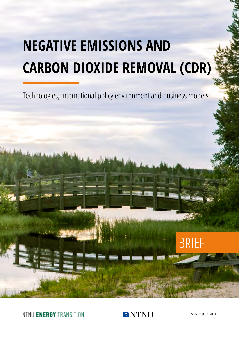# **NEGATIVE EMISSIONS AND CARBON DIOXIDE REMOVAL (CDR)**

Technologies, international policy environment and business models



NTNU ENERGY TRANSITION



Policy Brief 02/2021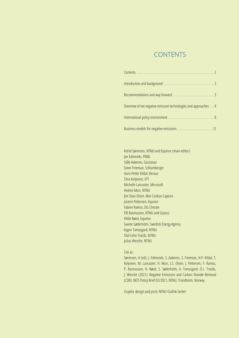### CONTENTS

| Overview of net negative emission technologies and approaches 4 |
|-----------------------------------------------------------------|
|                                                                 |
|                                                                 |

Astrid Sørensen, NTNU and Equinor (main editor) Jae Edmonds, PNNL Ståle Aakenes, Gassnova Steve Freeman, Schlumberger Hans Petter Kildal, Becour Tiina Koljonen, VTT Michelle Lancaster, Microsoft Helene Muri, NTNU Jim Stian Olsen, Aker Carbon Capture Jostein Pettersen, Equinor Fabien Ramos, DG Climate Pål Rasmussen, NTNU and Gassco Hilde Røed, Equinor Svante Søderholm, Swedish Energy Agency Asgeir Tomasgard, NTNU Olaf Lehn Tranås, NTNU Julius Wesche, NTNU

#### Cite as:

Sørensen, A (ed), J. Edmonds, S. Aakenes, S. Freeman, H.P. Kildal, T. Koljonen, M. Lancaster, H. Muri, J.S. Olsen, J. Pettersen, F. Ramos, P. Rasmussen, H. Røed, S. Søderholm, A. Tomasgard, O.L. Tranås, J. Wesche (2021): Negative Emissions and Carbon Dioxide Removal (CDR). NETI Policy Brief 02/2021, NTNU, Trondheim, Norway

Graphic design and print: NTNU Grafisk Senter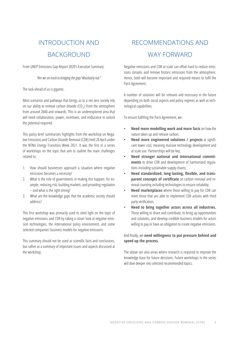## <span id="page-2-0"></span>INTRODUCTION AND BACKGROUND

From UNEP Emissions Gap Report 2020's Executive Summary:

*"Are we on track to bridging the gap? Absolutely not."*

The task ahead of us is gigantic.

Most scenarios and pathways that brings us to a net zero society rely on our ability to remove carbon dioxide  $(CO<sub>2</sub>)$  from the atmosphere from around 2040 and onwards. This is an underexplored area that will need collaboration, power, incentives, and endurance to unlock the potential required.

This policy brief summarizes highlights from the workshop on Negative Emissions and Carbon Dioxide Removal (CDR) held 28 April under the NTNU Energy Transition Week 2021. It was the first in a series of workshops on the topic that aim to outline the main challenges related to:

- 1. How should businesses approach a situation where negative emissions becomes a necessity?
- 2. What is the role of governments in making this happen: for example, reducing risk, building markets, and providing regulation – and what is the right timing?
- 3. What are the knowledge gaps that the academic society should address?

This first workshop was primarily used to shed light on the topic of negative emissions and CDR by taking a closer look at negative emission technologies, the international policy environment, and some selected companies' business models for negative emissions.

This summary should not be used as scientific facts and conclusions, but rather as a summary of important issues and aspects discussed at the workshop.

# RECOMMENDATIONS AND WAY FORWARD

Negative emissions and CDR at scale can offset hard to reduce emissions streams and remove historic emissions from the atmosphere. Hence, both will become important and required means to fulfil the Paris Agreement.

A number of solutions will be relevant and necessary in the future depending on both social aspects and policy regimes as well as technological capabilities.

To ensure fulfilling the Paris Agreement, we:

- **Need more modelling work and more facts** on how the nature takes up and release carbon;
- **Need more engineered solutions / projects** at significant lower cost, meaning massive technology development and at scale use. Partnerships will be key;
- **Need stronger national and international commitments** to drive CDR and development of harmonized regulations including sustainable supply chains;
- **Need standardized, long-lasting, flexible, and transparent concepts of certificate** on carbon removal and removal counting including technologies to ensure reliability;
- **Need marketplaces** where those willing to pay for CDR can meet those that are able to implement CDR actions with third party verification;
- **Need to bring together actors across all industries.**  Those willing to share and contribute, to bring up opportunities and solutions, and develop credible business models for actors willing to pay or have an obligation to create negative emissions.

#### And finally, we **need willingness to put pressure behind and speed up the process.**

The above are also areas where research is required to improve the knowledge base for future decisions. Future workshops in the series will dive deeper into selected recommended topics.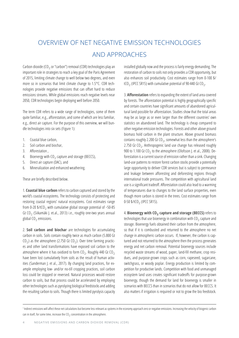# <span id="page-3-0"></span>OVERVIEW OF NET NEGATIVE EMISSION TECHNOLOGIES AND APPROACHES

Carbon dioxide (CO<sub>2</sub> or "carbon") removal (CDR) technologies play an important role in strategies to reach a key goal of the Paris Agreement of 2015, limiting climate change to well below two degrees, and even more so in scenarios that limit climate change to 1.5°C. CDR technologies provide negative emissions that can offset hard to reduce emissions streams. While global emissions reach negative levels near 2050, CDR technologies begin deploying well before 2050.

The term CDR refers to a wide range of technologies, some of them quite familiar, e.g., afforestation, and some of which are less familiar, e.g., direct air capture. For the purpose of this overview, we will bundle technologies into six sets (Figure 1):

- 1. Coastal blue carbon,
- 2. Soil carbon and biochar,
- 3. Afforestation ,
- 4. Bioenergy with  $CO<sub>2</sub>$  capture and storage (BECCS),
- 5. Direct air capture (DAC), and
- 6. Mineralization and enhanced weathering.

These are briefly described below.

1. **Coastal blue carbon** refers to carbon captured and stored by the world's coastal ecosystems. The technology consists of protecting and restoring coastal regions' natural ecosystems. Cost estimates range from 0-20  $1/tCO<sub>2</sub>$  with cumulative global storage potential of ~50-85 Gt CO<sub>2</sub> (Siikamäki J. et.al., 2013) i.e., roughly one-two years annual global CO<sub>2</sub> emissions.

2. **Soil carbon and biochar** are technologies for accumulating carbon in soils. Soils contain roughly twice as much carbon (5.800 Gt  $CO<sub>2</sub>$ ) as the atmosphere (2.750 Gt  $CO<sub>2</sub>$ ). Over time farming practices and other land transformations have exposed soil carbon to the atmosphere where it has oxidized to form  $CO<sub>2</sub>$ . Roughly 440 Gt  $CO<sub>2</sub>$ have been lost cumulatively from soils as the result of human activities (Sanderman J. et al., 2017). By changing land practices, for example employing low- and/or no-till cropping practices, soil carbon loss could be stopped or reversed. Natural processes would restore carbon to soils, but that process could be accelerated by employing other technologies such as pyrolyzing biological feedstocks and adding the resulting carbon to soils. Though there is limited pyrolysis capacity

installed globally now and the process is fairly energy demanding. The restoration of carbon to soils not only provides a CDR opportunity, but also enhances soil productivity. Cost estimates range from 0-100 \$/ tCO<sub>2</sub> (IPCC SR15) with cumulative potential of 90-440 Gt CO<sub>2</sub>.

3. **Afforestation** refers to expanding the extent of land area covered by forests. The afforestation potential is highly geographically specific and certain countries have significant amounts of abandoned agricultural land possible for afforestation. Studies show that the total areas may be as large as or even larger than the different countries' own statistics on abandoned land. The technology is cheap compared to other negative emission technologies. Forests and other above ground biomass hold carbon in the plant structure. Above ground biomass contains roughly 2.200 Gt CO<sub>2</sub>, somewhat less than the atmosphere's 2.750 Gt  $CO<sub>2</sub>$ . Anthropogenic land use change has released roughly 900 to 1.100 Gt  $CO<sub>2</sub>$  to the atmosphere (Olofsson J. et al., 2008). Deforestation is a current source of emission rather than a sink. Changing land-use patterns to restore forest carbon stocks provide a potentially large opportunity to deliver CDR services but is subject to permeance and leakage between afforesting and deforesting regions through international trade pressures. The competition with agricultural land use is a significant tradeoff. Afforestation could also lead to a warming of temperatures due to changes to the land surface properties, even though more carbon is stored in the trees. Cost estimates range from 0-50  $1/1CO<sub>2</sub>$  (IPCC SR15).

4. **Bioenergy with CO**2 **capture and storage (BECCS)** refers to technologies that use bioenergy in combination with  $CO<sub>2</sub>$  capture and storage. Bioenergy fuels obtained their carbon from the atmosphere, so that if it is combusted and returned to the atmosphere no net change in atmospheric carbon occurs. If, however, the carbon is captured and not returned to the atmosphere then the process generates energy and net carbon removal. Potential bioenergy sources include recycled waste streams of wood, paper, land-fill methane, crop residues, and purpose-grown crops such as corn, rapeseed, sugarcane, switchgrass, or woody poplar. Energy production is limited by competition for productive lands. Competition with food and unmanaged ecosystem land uses creates significant tradeoffs for purpose-grown bioenergy, though the demand for land for bioenergy is smaller in scenarios with BECCS than in scenarios that do not allow for BECCS. It also matters if irrigation is required or not to grow the bio feedstock.

<sup>1</sup> Indirect emissions will affect these net calculations but become less relevant as systems in the economy approach zero or negative emissions. Increasing the velocity of biogenic carbon can in itself, for some time, increase the  $CO<sub>2</sub>$  concentration in the atmosphere.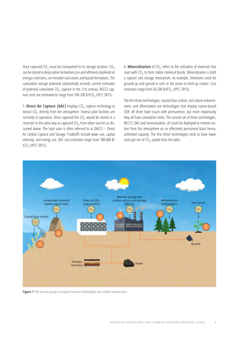Once captured  $CO<sub>2</sub>$  must be transported to its storage location.  $CO<sub>2</sub>$ can be stored in deep saline formations (on and offshore) depleted oil and gas reservoirs, un-minable coal seams and basalt formations. The cumulative storage potential substantially exceeds current estimates of potential cumulative  $CO<sub>2</sub>$  capture in the 21st century. BECCS capture costs are estimated to range from 100-200 \$/tCO<sub>2</sub> (IPCC SR15).

5. **Direct Air Capture (DAC)** employs CO<sub>2</sub> capture technology to extract  $CO<sub>2</sub>$  directly from the atmosphere. Several pilot facilities are currently in operation. Once captured the  $CO_2$  would be stored in a reservoir in the same way as captured  $CO<sub>2</sub>$  from other sources as discussed above. The total suite is often referred to as DACCS – Direct Air Carbon Capture and Storage. Tradeoffs include water use, capital intensity, and energy use. DAC cost estimates range from 100-600 \$/ tCO<sub>2</sub> (IPCC SR15).

6. **Mineralization** of  $CO<sub>2</sub>$  refers to the utilization of materials that react with  $CO<sub>2</sub>$  to form stable chemical bonds. Mineralization is both a capture and storage mechanism. As example, limestone could be ground up and spread in soils or the ocean to bind up carbon. Cost estimates range from 50-200  $*/CO<sub>2</sub>$  (IPCC SR15).

The first three technologies, coastal blue carbon, soil carbon enhancement, and afforestation are technologies that employ nature-based CDR. All three have issues with permanence, but more importantly they all have cumulative limits. The second set of three technologies, BECCS, DAC and mineralization, all could be deployed to remove carbon from the atmosphere on an effectively permanent basis hence, unlimited capacity. The first three technologies tend to have lower costs per ton of  $CO<sub>2</sub>$  uptake than the latter.



Figure 1: The six main groups of negative emission technologies and reliable sequestration.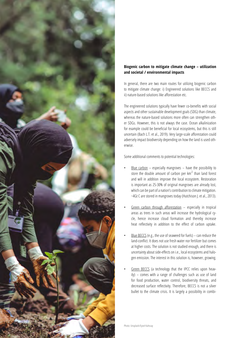

#### **Biogenic carbon to mitigate climate change – utilization and societal / environmental impacts**

In general, there are two main routes for utilizing biogenic carbon to mitigate climate change: i) Engineered solutions like BECCS and ii) nature-based solutions like afforestation etc.

The engineered solutions typically have fewer co-benefits with social aspects and other sustainable development goals (SDG) than climate, whereas the nature-based solutions more often can strengthen oth er SDGs. However, this is not always the case. Ocean alkalinization for example could be beneficial for local ecosystems, but this is still uncertain (Bach L.T. et al., 2019). Very large-scale afforestation could adversely impact biodiversity depending on how the land is used oth erwise.

Some additional comments to potential technologies:

- Blue carbon  $-$  especially mangroves  $-$  have the possibility to store the double amount of carbon per km 2 than land forest and will in addition improve the local ecosystem. Restoration is important as 25-30% of original mangroves are already lost, which can be part of a nation's contribution to climate mitigation. ~4Gt C are stored in mangroves today (Hutchison J. et al., 2013).
- Green carbon through afforestation  $-$  especially in tropical areas as trees in such areas will increase the hydrological cy cle, hence increase cloud formation and thereby increase heat reflectivity in addition to the effect of carbon uptake.
- Blue BECCS (e.g., the use of seaweed for fuels) can reduce the land-conflict. It does not use fresh water nor fertilizer but comes at higher costs. The solution is not studied enough, and there is uncertainty about side-effects on i.e., local ecosystems and halo gen emission. The interest in this solution is, however, growing.
- Green BECCS (a technology that the IPCC relies upon heavily) – comes with a range of challenges such as use of land for food production, water control, biodiversity threats, and decreased surface reflectivity. Therefore, BECCS is not a silver bullet to the climate crisis. It is largely a possibility in combi -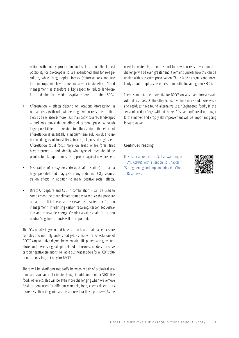nation with energy production and soil carbon. The largest possibility for bio-crops is to use abandoned land for re-agriculture, while using tropical forests (deforestation) and use for bio-crops will have a net negative climate effect. "Land management" is therefore a key aspect to reduce land-conflict and thereby avoids negative effects on other SDGs.

- Afforestation effects depend on location; Afforestation in boreal areas (with cold winters) e.g., will increase heat reflectivity as trees absorb more heat than snow covered landscapes – and may outweigh the effect of carbon uptake. Although large possibilities are related to afforestation, the effect of afforestation is essentially a medium-term solution due to inherent dangers of forest fires, insects, plagues, droughts etc. Afforestation could focus more on areas where forest fires have occurred – and identify what type of trees should be planted to take up the most  $CO<sub>2</sub>$ , protect against new fires etc.
- Restoration of ecosystems (beyond afforestation)  $-$  has a huge potential and may give many additional  $CO<sub>2</sub>$  sequestration effects in addition to many positive social effects.
- Direct Air Capture and CCU in combination can be used to complement the other climate solutions to reduce the pressure on land conflict. These can be viewed as a system for "carbon management" interlinking carbon recycling, carbon sequestration and renewable energy. Creating a value chain for carbon neutral/negative products will be important.

The  $CO<sub>2</sub>$  uptake in green and blue carbon is uncertain, as effects are complex and not fully understood yet. Estimates for expectations of BECCS vary to a high degree between scientific papers and grey literature, and there is a great split related to business models to realize carbon negative emissions. Reliable business models for all CDR solutions are missing, not only for BECCS.

There will be significant trade-offs between repair of ecological systems and avoidance of climate change in addition to other SDGs like food, water etc. This will be even more challenging when we remove fossil carbons used for different materials, food, chemicals etc. – as more fossil than biogenic carbons are used for these purposes. As the

need for materials, chemicals and food will increase over time the challenge will be even greater and it remains unclear how this can be unified with ecosystem preservation. There is also a significant uncertainty about complex side-effects from both blue and green BECCS.

There is an untapped potential for BECCS on waste and forest / agricultural residues. On the other hand, over time more and more waste and residues have found alternative use. "Engineered food", in the sense of produce "eggs without chicken", "solar food" are also brought to the market and crop yield improvement will be important going forward as well.

#### **Continued reading**

[IPCC special report on Global warming of](https://www.ipcc.ch/sr15/)  [1.5°C \(2018\) with attention to Chapter 4](https://www.ipcc.ch/sr15/)  ["Strengthening and Implementing the Glob](https://www.ipcc.ch/sr15/)[al Response".](https://www.ipcc.ch/sr15/)

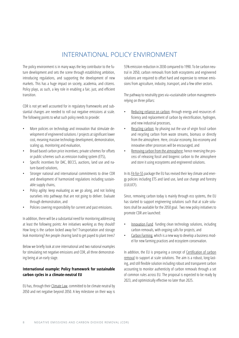## INTERNATIONAL POLICY ENVIRONMENT

<span id="page-7-0"></span>The policy environment is in many ways the key contributor to the future development and sets the scene through establishing ambition, introducing regulations, and supporting the development of new markets. This has a huge impact on society, academia, and citizens. Policy plays, as such, a key role in enabling a fair, just, and efficient transition.

CDR is not yet well accounted for in regulatory frameworks and substantial changes are needed to roll out negative emissions at scale. The following points to what such policy needs to provide:

- More policies on technology and innovation that stimulate development of engineered solutions / projects at significant lower cost, meaning massive technology development, demonstration, scaling up, monitoring and evaluation,
- Broad based carbon price incentives; private schemes for offsets or public schemes such as emission trading system (ETS),
- Specific incentives for DAC, BECCS, auctions, land use and nature-based solutions,
- Stronger national and international commitments to drive CDR and development of harmonized regulations including sustainable supply chains,
- Policy agility: keep evaluating as we go along, and not locking ourselves into pathways that are not going to deliver. Evaluate through demonstration, and
- Policies covering responsibility for current and past emissions.

In addition, there will be a substantial need for monitoring addressing at least the following points: Are initiatives working as they should? How long is the carbon locked away for? Transportation and storage leak monitoring? Are people clearing land to get payed to plant trees?

Below we briefly look at one international and two national examples for stimulating net negative emissions and CDR, all three demonstrating being at an early stage.

#### **International example: Policy framework for sustainable carbon cycles in a climate-neutral EU**

EU has, through their Climate Law, committed to be climate neutral by 2050 and net negative beyond 2050. A key milestone on their way is 55% emission reduction in 2030 compared to 1990. To be carbon neutral in 2050, carbon removals from both ecosystems and engineered solutions are required to offset hard and expensive to remove emissions from agriculture, industry, transport, and a few other sectors.

The pathway to neutrality goes via «sustainable carbon management» relying on three pillars:

- Reducing reliance on carbon; through energy and resources efficiency and replacement of carbon by electrification, hydrogen, and new industrial processes,
- Recycling carbon; by phasing out the use of virgin fossil carbon and recycling carbon from waste streams, biomass or directly from the atmosphere. Here, circular economy, bio-economy and innovative other processes will be encouraged, and
- Removing carbon from the atmosphere; hence reversing the process of releasing fossil and biogenic carbon to the atmosphere and store it using ecosystems and engineered solutions.

In its Fit-for-55 package the EU has revised their key climate and energy policies including ETS and land use, land use change and forestry (LULUCF).

Since, removing carbon today is mainly through eco systems, the EU has started to support engineering solutions such that at scale solutions shall be available for the 2050 goal. Two new policy initiatives to promote CDR are launched:

- Innovation Fund funding clean technology solutions, including carbon removals, with ongoing calls for projects, and
- Carbon Farming, which is a new way to develop a business model for new farming practices and ecosystem conservation.

In addition, the EU is preparing a concept of Certification of carbon removal to support at scale solutions. The aim is a robust, long-lasting, and still flexible solution including robust and transparent carbon accounting to monitor authenticity of carbon removals through a set of common rules across EU. The proposal is expected to be ready by 2023, and optimistically effective no later than 2025.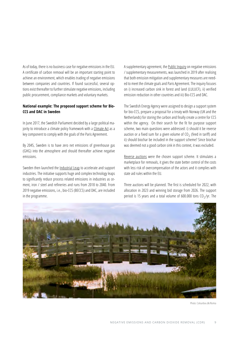As of today, there is no business case for negative emissions in the EU. A certificate of carbon removal will be an important starting point to achieve an environment, which enables trading of negative emissions between companies and countries. If found successful, several options exist thereafter to further stimulate negative emissions, including public procurement, compliance markets and voluntary markets.

#### **National example: The proposed support scheme for Bio-CCS and DAC in Sweden**

In June 2017, the Swedish Parliament decided by a large political majority to introduce a climate policy framework with a Climate Act as a key component to comply with the goals of the Paris Agreement.

By 2045, Sweden is to have zero net emissions of greenhouse gas (GHG) into the atmosphere and should thereafter achieve negative emissions.

Sweden then launched the Industrial Leap to accelerate and support industries. The initiative supports huge and complex technology leaps to significantly reduce process related emissions in industries as cement, iron / steel and refineries and runs from 2018 to 2040. From 2019 negative emissions, i.e., bio-CCS (BECCS) and DAC, are included in the programme.

A supplementary agreement, the Public Inquiry on negative emissions / supplementary measurements, was launched in 2019 after realising that both emission mitigation and supplementary measures are needed to meet the climate goals and Paris Agreement. The inquiry focuses on i) increased carbon sink in forest and land (LULUCF), ii) verified emission reduction in other countries and iii) Bio-CCS and DAC.

The Swedish Energy Agency were assigned to design a support system for bio-CCS, prepare a proposal for a treaty with Norway (UK and the Netherlands) for storing the carbon and finally create a centre for CCS within the agency. On their search for the fit for purpose support scheme, two main questions were addressed: i) should it be reverse auction or a fixed sum for a given volume of  $CO<sub>2</sub>$  (feed in tariff) and ii) should biochar be included in the support scheme? Since biochar was deemed not a good carbon sink in this context, it was excluded.

Reverse auctions were the chosen support scheme. It stimulates a marketplace for removals, it gives the state better control of the costs with less risk of overcompensation of the actors and it complies with state aid rules within the EU.

Three auctions will be planned. The first is scheduled for 2022, with allocation in 2023 and winning bid storage from 2026. The support period is 15 years and a total volume of 600.000 tons  $CO<sub>2</sub>/yr$ . The



Photo: Colourbox.dk/Romia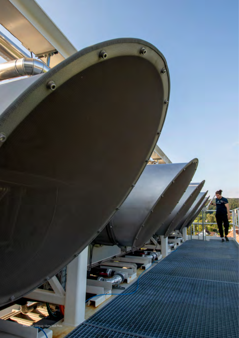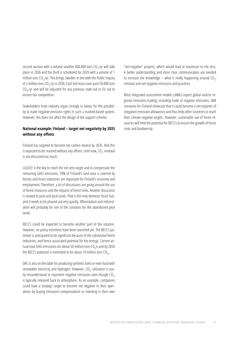second auction with a volume another 600.000 tons  $CO_2$ /yr will take place in 2026 and the third is scheduled for 2029 with a volume of 1 million tons  $CO<sub>2</sub>/yr$ . This brings Sweden in line with the Public Inquiry of 2 million tons  $CO_2$ /yr in 2030. Each bid must cover post 50.000 tons  $CO<sub>2</sub>/yr$  and will be adjusted for any previous state aid or EU aid to ensure fair competition.

Stakeholders from industry argue strongly in favour for the possibility to trade negative emission rights in such a marked-based system. However, this does not affect the design of the support scheme.

#### **National example: Finland – target net negativity by 2035 without any offsets**

Finland has targeted to become net carbon neutral by 2035. And this is expected to be reached without any offsets. Until now,  $CO<sub>2</sub>$  removal is not discussed too much.

LULUCF is the key to reach the net zero target and to compensate the remaining GHG emissions. 70% of Finland's land area is covered by forests and forest industries are important for Finland's economy and employment. Therefore, a lot of discussions are going around the use of forest resources and the impacts of forest sinks. Another discussion is related to peat and peat lands. Peat is the only domestic fossil fuel, and it needs to be phased out very quickly. Afforestation and reforestation will probably be one of the solutions for the abandoned peat lands.

BECCS could be expected to become another part of the solution. However, no policy incentives have been launched yet. The BECCS potential is anticipated to be significant because of the substantial forest industries, and hence associated potential for bio energy. Current annual total GHG emissions are about 50 million tons  $CO<sub>2</sub>e$  and by 2050 the BECCS potential is estimated to be about 10 million tons  $CO<sub>2</sub>$ .

DAC is also on the table for producing synthetic fuels or even food with renewable electricity and hydrogen. However,  $CO<sub>2</sub>$  utilization is easily misunderstood to represent negative emissions even though  $CO<sub>2</sub>$ is typically released back to atmosphere. As an example, companies could have a strategic target to become net negative in their operations by buying emissions compensations or investing in their own

"net-negative" projects, which would lead at maximum to net zero. A better understanding and more clear communication are needed to increase the knowledge – what is really happening around  $CO<sub>2</sub>$ removal and net negative emissions and practices.

Most integrated assessment models (IAMs) expect global and/or regional emissions trading, including trade of negative emissions. IAM scenarios for Finland showcase that it could become a net exporter of (negative) emission allowances and thus help other countries to reach their climate negative targets. However, sustainable use of forest resources will limit the potential for BECCS to ensure the growth of forest sinks and biodiversity.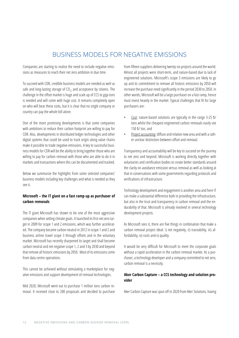## BUSINESS MODELS FOR NEGATIVE EMISSIONS

<span id="page-11-0"></span>Companies are starting to realise the need to include negative emissions as measures to reach their net zero ambition in due time.

To succeed with CDR, credible business models are needed as well as safe and long-lasting storage of  $CO<sub>2</sub>$  and acceptance by citizens. The challenge in the offset market is huge and scale up of CCS to giga tons is needed and will come with huge cost. It remains completely open on who will bear these costs, but it is clear that no single company or country can pay the whole bill alone.

One of the more promising developments is that some companies with ambitions to reduce their carbon footprint are willing to pay for CDR. Also, developments in distributed ledger technologies and other digital systems that could be used to track origin along value chains make it possible to trade negative emissions. A key to successful business models for CDR will be the ability to bring together those who are willing to pay for carbon removal with those who are able to do it in markets and transactions where this can be documented and tracked.

Below we summarize the highlights from some selected companies' business models including key challenges and what is needed as they see it.

#### **Microsoft – the IT giant on a fast ramp up as purchaser of carbon removals**

The IT giant Microsoft has shown to be one of the most aggressive companies when setting climate goals. It launched its first net zero target in 2009 for scope 1 and 2 emissions, which was further accelerated. The company became carbon neutral in 2012 in scope 1 and 2 and business airline travel scope 3 through offsets and in the voluntary market. Microsoft has recently sharpened its target and shall become carbon neutral and net negative scope 1, 2 and 3 by 2030 and beyond that remove all historic emissions by 2050. Most of its emissions come from data centre operations.

This cannot be achieved without stimulating a marketplace for negative emissions and support development of removal technologies.

Mid 2020, Microsoft went out to purchase 1 million tons carbon removal. It received close to 200 proposals and decided to purchase from fifteen suppliers delivering twenty-six projects around the world. Almost all projects were short-term, and nature-based due to lack of engineered solutions. Microsoft's scope 3 emissions are likely to go up and its commitment to remove all historic emissions by 2050 will increase the purchase need significantly in the period 2030 to 2050. In other words, Microsoft will be a large purchaser on a fast ramp, hence must invest heavily in the market. Typical challenges that fit for large purchasers are:

- Cost: nature-based solutions are typically in the range 3-25 \$/ tons whilst the cheapest engineered carbon removals easily see 150 \$/ ton, and
- Project accounting: diffuse and relative new area and with a rather unclear distinction between offset and removal.

Transparency and accountability will be key to succeed on the journey to net zero and beyond. Microsoft is working directly together with voluntaries and certification bodies to create better standards around the clarity on avoidance emission versus removal as well as looking at that in conversations with some governments regarding protocols and verifications of infrastructure.

Technology development and engagement is another area and here IT can make a substantial difference both in providing the infrastructure, but also in the trust and transparency in carbon removal and the endurability of that. Microsoft is already involved in several technology development projects.

As Microsoft sees it, there are five things in combination that make a carbon removal project ideal: i) net negativity, ii) traceability, iii) affordability, iv) costs and v) quality.

It would be very difficult for Microsoft to meet the corporate goals without a rapid acceleration in the carbon removal market. As a purchaser, a technology developer and a company committed to net zero, carbon removal is a necessity.

#### **Aker Carbon Capture – a CCS technology and solution provider**

Aker Carbon Capture was spun off in 2020 from Aker Solutions, having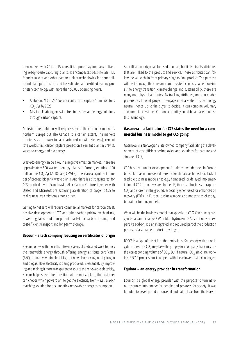then worked with CCS for 15 years. It is a pure-play company delivering ready-to-use capturing plants. It encompasses best-in-class HSE friendly solvent and other patented plant technologies for better allround plant performance and has validated and certified leading proprietary technology with more than 50.000 operating hours.

- Ambition: "10 in 25": Secure contracts to capture 10 million tons  $CO<sub>2</sub>$ /yr by 2025,
- Mission: Enabling emission free industries and energy solutions through carbon capture.

Achieving the ambition will require speed. Their primary market is northern Europe but also Canada to a certain extent. The markets of interests are power-to-gas (partnered up with Siemens), cement (the world's first carbon capture project on a cement plant in Brevik), waste-to-energy and bio energy.

Waste-to-energy can be a key in a negative emission market. There are approximately 500 waste-to-energy plants in Europe, emitting ~100 million tons  $CO<sub>2</sub>$  /yr (2018 data, CEWEP). There are a significant number of process biogenic waste plants. And there is a strong interest for CCS, particularly in Scandinavia. Aker Carbon Capture together with Ørsted and Microsoft are exploring acceleration of biogenic CCS to realize negative emissions among other.

Getting to net zero will require commercial markets for carbon offset, positive development of ETS and other carbon pricing mechanisms, a well-regulated and transparent market for carbon trading, and cost-efficient transport and long-term storage.

#### **Becour – a tech company focusing on certificates of origin**

Becour comes with more than twenty years of dedicated work to track the renewable energy through offering energy attribute certificates (EAC), primarily within electricity, but now also moving into hydrogen and biogas. How electricity is being produced, is essential. By improving and making it more transparent to source the renewable electricity, Becour helps speed the transition. At the marketplace, the customer can choose which powerplant to get the electricity from – i.e., a 24/7 matching solution for documenting renewable energy consumption.

A certificate of origin can be used to offset, but it also tracks attributes that are linked to the product and service. These attributes can follow the value chain from primary stage to final product. The purpose will be to engage the consumer and create incentives. When looking at the energy transition, climate change and sustainability, there are many non-physical attributes. By tracking attributes, one can enable preferences to what project to engage in at a scale. It is technology neutral, hence up to the buyer to decide. It can combine voluntary and compliant systems. Carbon accounting could be a place to utilise this technology.

#### **Gassnova – a facilitator for CCS states the need for a commercial business model to get CCS going**

Gassnova is a Norwegian state-owned company facilitating the development of cost-efficient technologies and solutions for capture and storage of  $CO<sub>2</sub>$ .

CCS has been under development for almost two decades in Europe but so far has not made a difference for climate as hoped for. Lack of credible business models has e.g., hampered, or delayed implementation of CCS for many years. In the US, there is a business to capture  $CO<sub>2</sub>$  and store it in the ground, especially when used for enhanced oil recovery (EOR). In Europe, business models do not exist as of today, but rather funding models.

What will be the business model that speeds up CCS? Can blue hydrogen be a game changer? With blue hydrogen, CCS is not only an expensive add-on. It is an integrated and required part of the production process of a valuable product – hydrogen.

BECCS is a type of offset for other emissions. Somebody with an obligation to reduce  $CO<sub>2</sub>$  may be willing to pay to a company that can store the corresponding volume of CO<sub>2</sub>. But if natural CO<sub>2</sub> sinks are working, BECCS-projects must compete with these lower cost technologies.

#### **Equinor – an energy provider in transformation**

Equinor is a global energy provider with the purpose to turn natural resources into energy for people and progress for society. It was founded to develop and produce oil and natural gas from the Norwe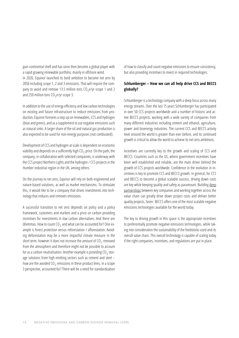gian continental shelf and has since then become a global player with a rapid growing renewable portfolio, mainly in offshore wind. In 2020, Equinor launched its bold ambition to become net zero by 2050 including scope 1, 2 and 3 emissions. That will require the company to avoid and remove 13.5 million tons  $CO<sub>2</sub>e/yr$  scope 1 and 2 and 250 million tons  $CO<sub>2</sub>$ e/yr scope 3.

In addition to the use of energy efficiency and low carbon technologies on existing and future infrastructure to reduce emissions from production, Equinor foresees a step up on renewables, CCS and hydrogen (blue and green), and as a supplement to use negative emissions such as natural sinks. A larger share of the oil and natural gas production is also expected to be used for non-energy purposes (not combusted).

Development of CCS and hydrogen at scale is dependent on economic viability and depends on a sufficiently high  $CO<sub>2</sub>$  price. On the path, the company, in collaboration with selected companies, is underway with the CCS project Northern Lights and the hydrogen / CCS projects in the Humber industrial region in the UK, among others.

On the journey to net zero, Equinor will rely on both engineered and nature-based solutions, as well as market mechanisms. To stimulate this, it would like to be a company that drives investments into technology that reduces and removes emissions.

A successful transition to net zero depends on policy and a policy framework, customers and markets and a price on carbon providing incentives for investments in low carbon alternatives. And there are dilemmas. How to count  $CO<sub>2</sub>$  and what can be accounted for? One example is forest protection versus reforestation / afforestation. Avoiding deforestation may be a more impactful climate measure in the short term, however it does not increase the amount of  $CO<sub>2</sub>$  removed from the atmosphere and therefore might not be possible to account for as a carbon neutralisation. Another example is providing  $CO<sub>2</sub>$  storage solutions from high emitting sectors such as cement and steel – how are the avoided  $CO<sub>2</sub>$  emissions in these product lines, in a scope 3 perspective, accounted for? There will be a need for standardization

of how to classify and count negative emissions to ensure consistency, but also providing incentives to invest in required technologies.

#### **Schlumberger – How we can all help drive CCS and BECCS globally?**

Schlumberger is a technology company with a deep focus across many energy streams. Over the last 15 years Schlumberger has participated in over 50 CCS projects worldwide and a number of historic and active BECCS projects, working with a wide variety of companies from many different industries including cement and ethanol, agriculture, power and bioenergy industries. The current CCS and BECCS activity level around the world is greater than ever before, and its continued growth is critical to allow the world to achieve its net zero ambitions.

Incentives are currently key to the growth and scaling of CCS and BECCS. Countries such as the US, where government incentives have been well established and reliable, are the main driver behind the growth of CCS projects worldwide. Confidence in the evolution in incentives is key to promote CCS and BECCS growth. In general, for CCS and BECCS to become a global scalable success, driving down costs are key while keeping quality and safety as paramount. Building deep partnerships between key companies and working together across the value chain can greatly drive down project costs and deliver better quality projects, faster. BECCS offers one of the most scalable negative emissions technologies available for the world today.

The key to driving growth in this space is the appropriate incentives to preferentially promote negative emissions technologies, while taking into consideration the sustainability of the feedstocks used and its overall value chain. This overall technology is capable of scaling today if the right companies, incentives, and regulations are put in place.